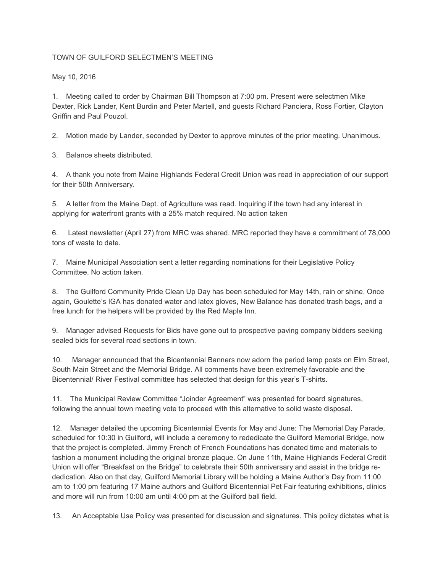## TOWN OF GUILFORD SELECTMEN'S MEETING

May 10, 2016

1. Meeting called to order by Chairman Bill Thompson at 7:00 pm. Present were selectmen Mike Dexter, Rick Lander, Kent Burdin and Peter Martell, and guests Richard Panciera, Ross Fortier, Clayton Griffin and Paul Pouzol.

2. Motion made by Lander, seconded by Dexter to approve minutes of the prior meeting. Unanimous.

3. Balance sheets distributed.

4. A thank you note from Maine Highlands Federal Credit Union was read in appreciation of our support for their 50th Anniversary.

5. A letter from the Maine Dept. of Agriculture was read. Inquiring if the town had any interest in applying for waterfront grants with a 25% match required. No action taken

6. Latest newsletter (April 27) from MRC was shared. MRC reported they have a commitment of 78,000 tons of waste to date.

7. Maine Municipal Association sent a letter regarding nominations for their Legislative Policy Committee. No action taken.

8. The Guilford Community Pride Clean Up Day has been scheduled for May 14th, rain or shine. Once again, Goulette's IGA has donated water and latex gloves, New Balance has donated trash bags, and a free lunch for the helpers will be provided by the Red Maple Inn.

9. Manager advised Requests for Bids have gone out to prospective paving company bidders seeking sealed bids for several road sections in town.

10. Manager announced that the Bicentennial Banners now adorn the period lamp posts on Elm Street, South Main Street and the Memorial Bridge. All comments have been extremely favorable and the Bicentennial/ River Festival committee has selected that design for this year's T-shirts.

11. The Municipal Review Committee "Joinder Agreement" was presented for board signatures, following the annual town meeting vote to proceed with this alternative to solid waste disposal.

12. Manager detailed the upcoming Bicentennial Events for May and June: The Memorial Day Parade, scheduled for 10:30 in Guilford, will include a ceremony to rededicate the Guilford Memorial Bridge, now that the project is completed. Jimmy French of French Foundations has donated time and materials to fashion a monument including the original bronze plaque. On June 11th, Maine Highlands Federal Credit Union will offer "Breakfast on the Bridge" to celebrate their 50th anniversary and assist in the bridge rededication. Also on that day, Guilford Memorial Library will be holding a Maine Author's Day from 11:00 am to 1:00 pm featuring 17 Maine authors and Guilford Bicentennial Pet Fair featuring exhibitions, clinics and more will run from 10:00 am until 4:00 pm at the Guilford ball field.

13. An Acceptable Use Policy was presented for discussion and signatures. This policy dictates what is